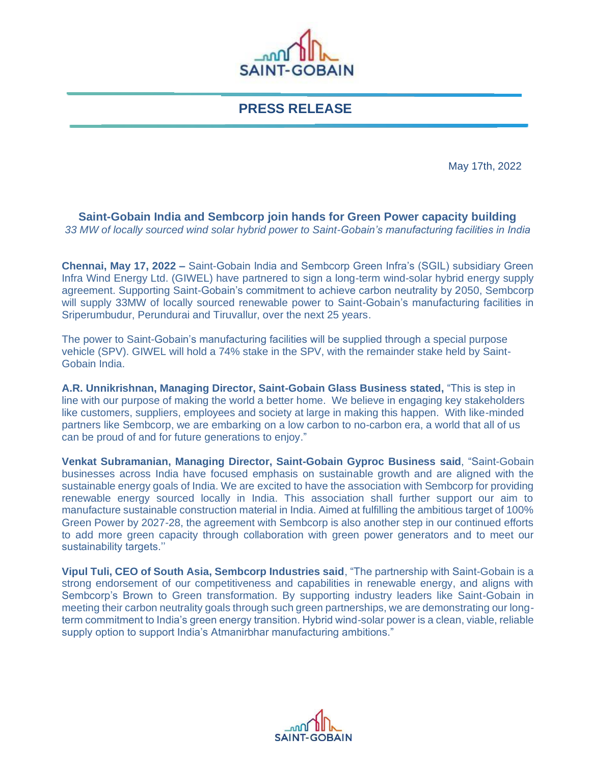

**PRESS RELEASE**

May 17th, 2022

**Saint-Gobain India and Sembcorp join hands for Green Power capacity building**  *33 MW of locally sourced wind solar hybrid power to Saint-Gobain's manufacturing facilities in India*

**Chennai, May 17, 2022** *–* Saint-Gobain India and Sembcorp Green Infra's (SGIL) subsidiary Green Infra Wind Energy Ltd. (GIWEL) have partnered to sign a long-term wind-solar hybrid energy supply agreement. Supporting Saint-Gobain's commitment to achieve carbon neutrality by 2050, Sembcorp will supply 33MW of locally sourced renewable power to Saint-Gobain's manufacturing facilities in Sriperumbudur, Perundurai and Tiruvallur, over the next 25 years.

The power to Saint-Gobain's manufacturing facilities will be supplied through a special purpose vehicle (SPV). GIWEL will hold a 74% stake in the SPV, with the remainder stake held by Saint-Gobain India.

**A.R. Unnikrishnan, Managing Director, Saint-Gobain Glass Business stated,** "This is step in line with our purpose of making the world a better home. We believe in engaging key stakeholders like customers, suppliers, employees and society at large in making this happen. With like-minded partners like Sembcorp, we are embarking on a low carbon to no-carbon era, a world that all of us can be proud of and for future generations to enjoy."

**Venkat Subramanian, Managing Director, Saint-Gobain Gyproc Business said**, "Saint-Gobain businesses across India have focused emphasis on sustainable growth and are aligned with the sustainable energy goals of India. We are excited to have the association with Sembcorp for providing renewable energy sourced locally in India. This association shall further support our aim to manufacture sustainable construction material in India. Aimed at fulfilling the ambitious target of 100% Green Power by 2027-28, the agreement with Sembcorp is also another step in our continued efforts to add more green capacity through collaboration with green power generators and to meet our sustainability targets.''

**Vipul Tuli, CEO of South Asia, Sembcorp Industries said**, "The partnership with Saint-Gobain is a strong endorsement of our competitiveness and capabilities in renewable energy, and aligns with Sembcorp's Brown to Green transformation. By supporting industry leaders like Saint-Gobain in meeting their carbon neutrality goals through such green partnerships, we are demonstrating our longterm commitment to India's green energy transition. Hybrid wind-solar power is a clean, viable, reliable supply option to support India's Atmanirbhar manufacturing ambitions."

மிட **SAINT-GOBAIN**